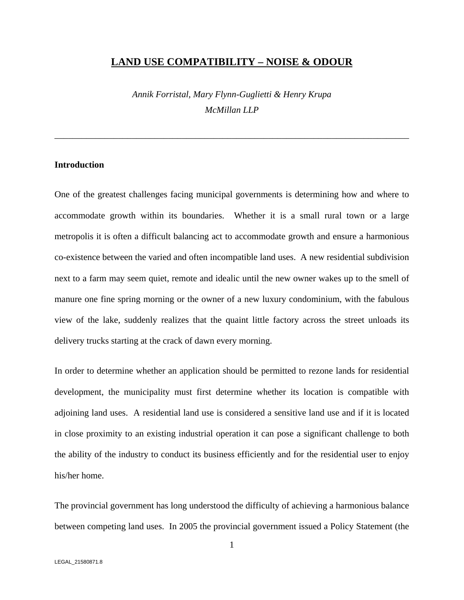#### **LAND USE COMPATIBILITY – NOISE & ODOUR**

*Annik Forristal, Mary Flynn-Guglietti & Henry Krupa McMillan LLP*

\_\_\_\_\_\_\_\_\_\_\_\_\_\_\_\_\_\_\_\_\_\_\_\_\_\_\_\_\_\_\_\_\_\_\_\_\_\_\_\_\_\_\_\_\_\_\_\_\_\_\_\_\_\_\_\_\_\_\_\_\_\_\_\_\_\_\_\_\_\_\_\_\_\_\_\_\_\_

#### **Introduction**

One of the greatest challenges facing municipal governments is determining how and where to accommodate growth within its boundaries. Whether it is a small rural town or a large metropolis it is often a difficult balancing act to accommodate growth and ensure a harmonious co-existence between the varied and often incompatible land uses. A new residential subdivision next to a farm may seem quiet, remote and idealic until the new owner wakes up to the smell of manure one fine spring morning or the owner of a new luxury condominium, with the fabulous view of the lake, suddenly realizes that the quaint little factory across the street unloads its delivery trucks starting at the crack of dawn every morning.

In order to determine whether an application should be permitted to rezonelands for residential development, the municipality must first determine whether its location is compatible with adjoining land uses. A residential land use is considered a sensitive land use and if it is located in close proximity to an existing industrial operation it can pose a significant challenge to both the ability of the industry to conduct its business efficiently and for the residential user to enjoy his/her home.

The provincial government has long understood the difficulty of achieving a harmonious balance between competing land uses. In 2005 the provincial government issued a Policy Statement (the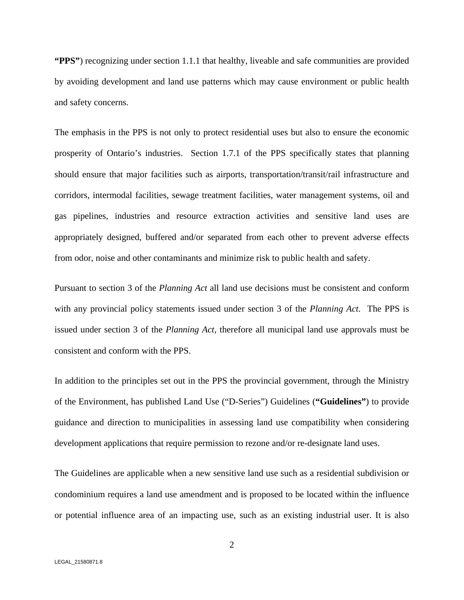**"PPS"**) recognizing under section 1.1.1 that healthy, liveable and safe communities are provided by avoiding development and land use patterns which may cause environment or public health and safety concerns.

The emphasis in the PPS is not only to protect residential uses but also to ensure the economic prosperity of Ontario's industries. Section 1.7.1 of the PPS specifically states that planning should ensure that major facilities such as airports, transportation/transit/rail infrastructure and corridors, intermodal facilities, sewage treatment facilities, water management systems, oil and gas pipelines, industries and resource extraction activities and sensitive land uses are appropriately designed, buffered and/or separated from each other to prevent adverse effects from odor, noise and other contaminants and minimize risk to public health and safety.

Pursuant to section 3 of the *Planning Act* all land use decisions must be consistent and conform with any provincial policy statements issued under section 3 of the*Planning Act.* The PPS is issued under section 3 of the *Planning Act,* therefore all municipal land use approvals must be consistent and conform with the PPS.

In addition to the principles set out in the PPS the provincial government, through the Ministry of the Environment, has published Land Use ("D-Series") Guidelines (**"Guidelines"**) to provide guidance and direction to municipalities in assessing land use compatibility when considering development applications that require permission to rezone and/or re-designate land uses.

The Guidelines are applicable when a new sensitive land use such as a residential subdivision or condominium requires a land use amendment and is proposed to be located within the influence or potential influence area of an impacting use, such as an existing industrial user. It is also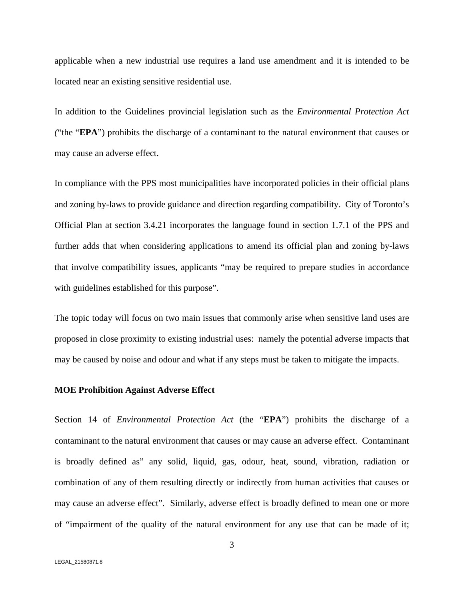applicable when a new industrial use requires a land use amendment and it is intended to be located near an existing sensitive residential use.

In addition to the Guidelines provincial legislation such as the *Environmental Protection Act (*"the "**EPA**") prohibits the discharge of a contaminant to the natural environment that causes or may cause an adverse effect.

In compliance with the PPS most municipalities have incorporated policies in their official plans and zoning by-laws to provide guidance and direction regarding compatibility. City of Toronto's Official Plan at section 3.4.21 incorporates the language found in section 1.7.1 of the PPS and further adds that when considering applications to amend its official plan and zoning by-laws that involve compatibility issues, applicants "may be required to preparestudies in accordance with guidelines established for this purpose".

The topic today will focus on two main issues that commonly arise when sensitive land uses are proposed in close proximity to existing industrial uses: namely the potential adverse impacts that may be caused by noise and odour and what if any steps must be taken to mitigate the impacts.

#### **MOE Prohibition Against Adverse Effect**

Section 14 of *Environmental Protection Act* (the "**EPA**") prohibits the discharge of a contaminant to the natural environment that causes or may cause an adverse effect. Contaminant is broadly defined as" any solid, liquid, gas, odour, heat, sound, vibration, radiation or combination of any of them resulting directly or indirectly from human activities that causes or may cause an adverse effect". Similarly, adverse effect is broadly defined to mean one or more of "impairment of the quality of the natural environment for any use that can be made of it;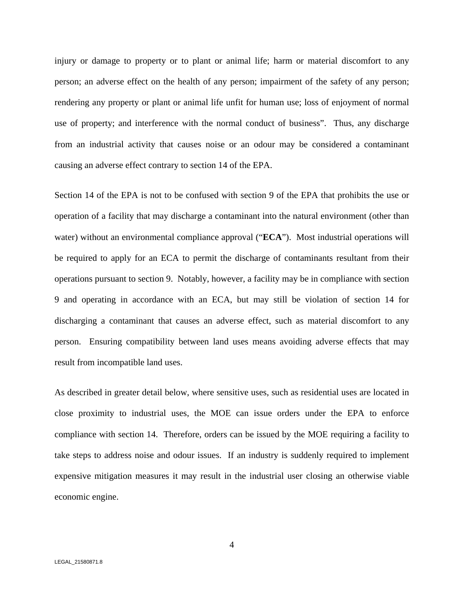injury or damage to property or to plant or animal life; harm or material discomfort to any person; an adverse effect on the health of any person; impairment of the safety of any person; rendering any property or plant or animal life unfit for human use; loss of enjoyment of normal use of property; and interference with the normal conduct of business". Thus, any discharge from an industrial activity that causes noise or an odour may be considered a contaminant causing an adverse effect contrary to section 14 of the EPA.

Section 14 of the EPA is not to be confused with section 9 of the EPA that prohibits the use or operation of a facility that may discharge a contaminant into the natural environment (other than water) without an environmental compliance approval ("**ECA**"). Most industrial operations will be required to apply for an ECA to permit the discharge of contaminants resultant from their operations pursuant to section 9. Notably, however, a facility may be in compliance with section 9 and operating in accordance with an ECA, but may still be violation of section 14 for discharging a contaminant that causes an adverse effect, such as material discomfort to any person. Ensuring compatibility between land uses means avoiding adverse effects that may result from incompatible land uses.

As described in greater detail below, where sensitive uses, such as residential uses are located in close proximity to industrial uses, the MOE can issue orders under the EPA to enforce compliance with section 14. Therefore, orders can be issued by the MOE requiring a facility to take steps to address noise and odour issues. If an industry is suddenly required to implement expensive mitigation measures it may result in the industrial user closing an otherwise viable economic engine.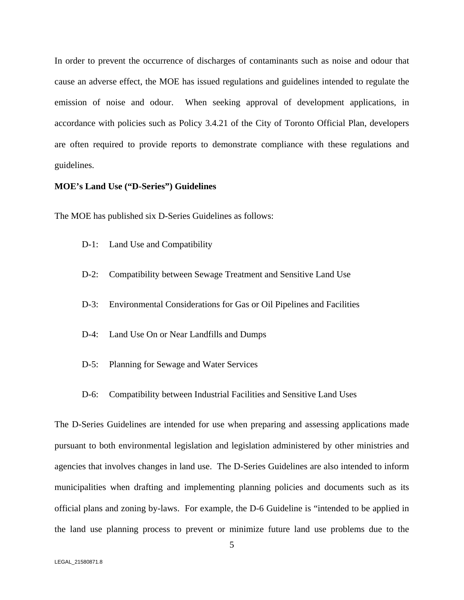In order to prevent the occurrence of discharges of contaminants such as noise and odour that cause an adverse effect, the MOE has issued regulations and guidelines intended to regulate the emission of noise and odour. When seeking approval of development applications, in accordance with policies such as Policy 3.4.21 of the City of Toronto Official Plan, developers are often required to provide reports to demonstrate compliance with these regulations and guidelines.

#### **MOE's Land Use ("D-Series") Guidelines**

The MOE has published six D-Series Guidelines as follows:

- D-1: Land Use and Compatibility
- D-2: Compatibility between Sewage Treatment and Sensitive Land Use
- D-3: Environmental Considerations for Gas or Oil Pipelines and Facilities
- D-4: Land Use On or Near Landfills and Dumps
- D-5: Planning for Sewage and Water Services
- D-6: Compatibility between Industrial Facilities and Sensitive Land Uses

The D-Series Guidelines are intended for use when preparing and assessing applications made pursuant to both environmental legislation and legislation administered by other ministries and agencies that involves changes in land use. The D-Series Guidelines are also intended to inform municipalities when drafting and implementing planning policies and documents such as its official plans and zoning by-laws. For example, the D-6 Guideline is "intended to be applied in the land use planning process to prevent or minimize future land use problems due to the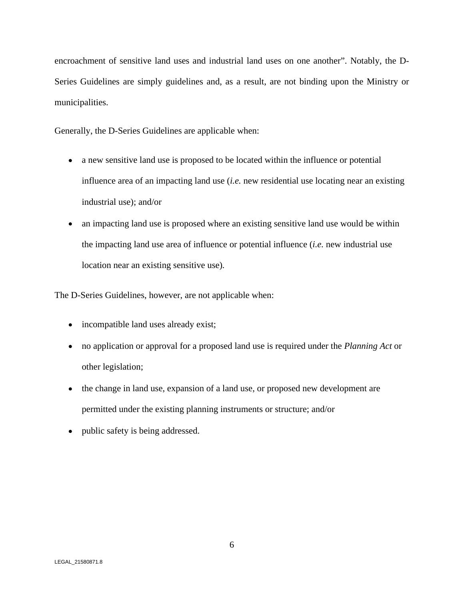encroachment of sensitive land uses and industrial land uses on one another". Notably, the D- Series Guidelines are simply guidelines and, as a result, are not binding upon the Ministry or municipalities.

Generally, the D-Series Guidelines are applicable when:

- a new sensitive land use is proposed to be located within the influence or potential influence area of an impacting land use (*i.e.* new residential use locating near an existing industrial use); and/or
- an impacting land use is proposed where an existing sensitive land use would be within the impacting land use area of influence or potential influence (*i.e.* new industrial use location near an existing sensitive use)*.*

The D-Series Guidelines, however, are not applicable when:

- incompatible land uses already exist;
- no application or approval for a proposed land use is required under the *Planning Act* or other legislation;
- the change in land use, expansion of a land use, or proposed new development are permitted under the existing planning instruments or structure; and/or
- public safety is being addressed.  $\bullet$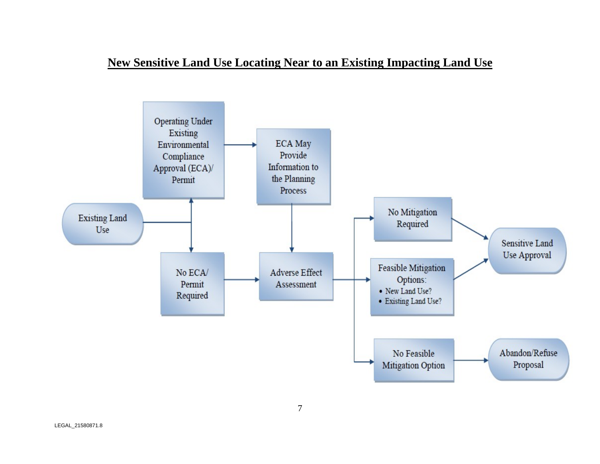# **New Sensitive Land Use Locating Near to an Existing Impacting Land Use**

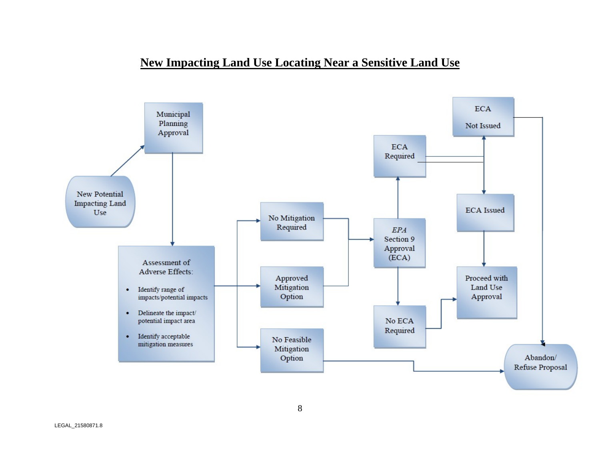# **New Impacting Land Use Locating Near a Sensitive Land Use**



8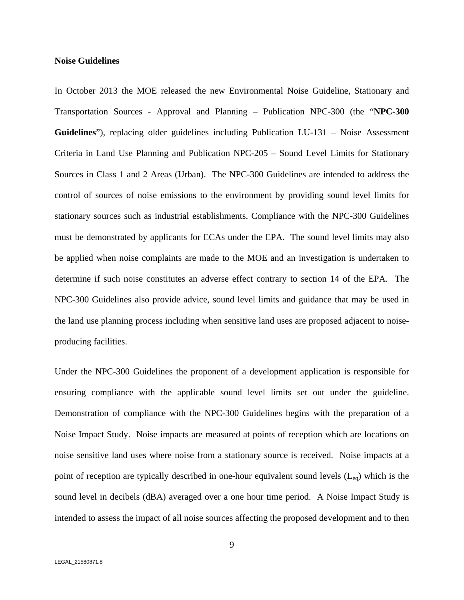#### **Noise Guidelines**

In October 2013 the MOE released the new Environmental Noise Guideline, Stationary and Transportation Sources - Approval and Planning – Publication NPC-300 (the "**NPC-300 Guidelines**"), replacing older guidelines including Publication LU-131 – Noise Assessment Criteria in Land Use Planning and Publication NPC-205 – Sound Level Limits for Stationary Sources in Class 1 and 2 Areas (Urban). The NPC-300 Guidelines are intended to address the control of sources of noise emissions to the environment by providing sound level limits for stationary sources such as industrial establishments. Compliance with the NPC-300 Guidelines must be demonstrated by applicants for ECAs under the EPA. The sound level limits may also be applied when noise complaints are made to the MOE and an investigation is undertaken to determine if such noise constitutes an adverse effect contrary to section 14 of the EPA. The NPC-300 Guidelines also provide advice, sound level limits and guidance that may be used in the land use planning process including when sensitive land uses are proposed adjacent to noise producing facilities.

Under the NPC-300 Guidelines the proponent of a development application is responsible for ensuring compliance with the applicable sound level limits set out under the guideline. Demonstration of compliance with the NPC-300 Guidelines begins with the preparation of a Noise Impact Study. Noise impacts are measured at points of reception which are locations on noise sensitive land uses where noise from a stationary source is received. Noise impacts at a point of reception are typically described in one-hour equivalent sound levels  $(L_{eq})$  which is the sound level in decibels (dBA) averaged over a one hour time period. A Noise Impact Study is intended to assess the impact of all noise sources affecting the proposed development and to then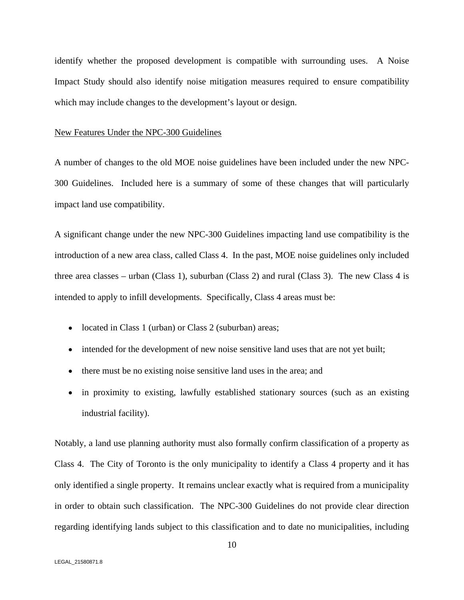identify whether the proposed development is compatible with surrounding uses. A Noise Impact Study should also identify noise mitigation measures required to ensure compatibility which may include changes to the development's layout or design.

#### New Features Under the NPC-300 Guidelines

A number of changes to the old MOE noise guidelines have been included under the new NPC- 300 Guidelines. Included here is a summary of some of these changes that will particularly impact land use compatibility.

A significant change under the new NPC-300 Guidelines impacting land use compatibility is the introduction of a new area class, called Class 4. In the past, MOE noise guidelines only included three area classes – urban (Class 1), suburban (Class 2) and rural (Class 3). The new Class 4 is intended to apply to infill developments. Specifically, Class 4 areas must be:

- located in Class 1 (urban) or Class 2 (suburban) areas;
- intended for the development of new noise sensitive land uses that are not yet built;
- there must be no existing noise sensitive land uses in the area; and
- in proximity to existing, lawfully established stationary sources (such as an existing industrial facility).

Notably, a land use planning authority must also formally confirm classification of a property as Class 4. The City of Toronto is the only municipality to identify a Class 4 property and it has only identified a single property. It remains unclear exactly what is required from a municipality in order to obtain such classification. The NPC-300 Guidelines do not provide clear direction regarding identifying lands subject to this classification and to date no municipalities, including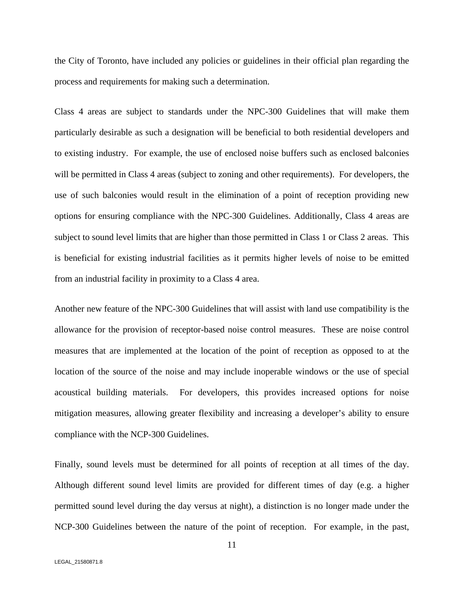the City of Toronto, have included any policies or guidelines in their official plan regarding the process and requirements for making such a determination.

Class 4 areas are subject to standards under the NPC-300 Guidelines that will make them particularly desirable as such a designation will be beneficial to both residential developers and to existing industry. For example, the use of enclosed noise buffers such as enclosed balconies will be permitted in Class 4 areas (subject to zoning and other requirements). For developers, the use of such balconies would result in the elimination of a point of reception providing new options for ensuring compliance with the NPC-300 Guidelines. Additionally, Class 4 areas are subject to sound level limits that are higher than those permitted in Class 1 or Class 2 areas. This is beneficial for existing industrial facilities as it permits higher levels of noise to be emitted from an industrial facility in proximity to a Class 4 area.

Another new feature of the NPC-300 Guidelines that will assist with land use compatibility is the allowance for the provision of receptor-based noise control measures. These are noise control measures that are implemented at the location of the point of reception as opposed to at the location of the source of the noise and may include inoperable windows or the use of special acoustical building materials. For developers, this provides increased options for noise mitigation measures, allowing greater flexibility and increasing a developer's ability to ensure compliance with the NCP-300 Guidelines.

Finally, sound levels must be determined for all points of reception at all times of the day. Although different sound level limits are provided for different times of day (e.g. a higher permitted sound level during the day versus at night), a distinction is no longer made under the NCP-300 Guidelines between the nature of the point of reception. For example, in the past,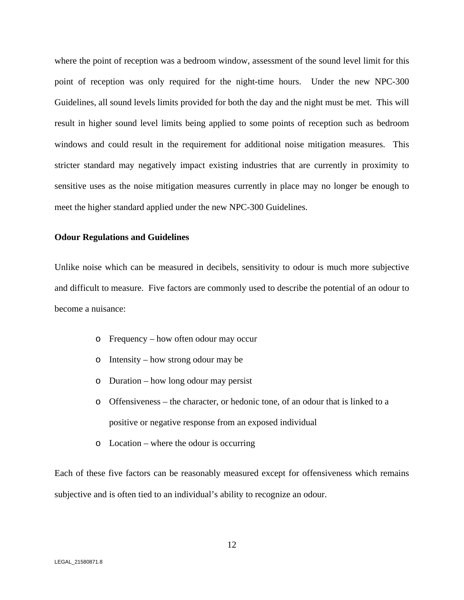where the point of reception was a bedroom window, assessment of the sound level limit for this point of reception was only required for the night-time hours. Under the new NPC-300 Guidelines, all sound levels limits provided for both the day and the night must be met. This will result in higher sound level limits being applied to some points of reception such as bedroom windows and could result in the requirement for additional noise mitigation measures. This stricter standard may negatively impact existing industries that are currently in proximity to sensitive uses as the noise mitigation measures currently in place may no longer be enough to meet the higher standard applied under the new NPC-300 Guidelines.

#### **Odour Regulations and Guidelines**

Unlike noise which can be measured in decibels, sensitivity to odour is much more subjective and difficult to measure. Five factors are commonly used to describe the potential of an odour to become a nuisance:

- o Frequency how often odour may occur
- o Intensity how strong odour may be
- o Duration how long odour may persist
- o Offensiveness the character, or hedonic tone, of an odour that is linked to a positive or negative response from an exposed individual
- o Location where the odour is occurring

Each of these five factors can be reasonably measured except for offensiveness which remains subjective and is often tied to an individual's ability to recognize an odour.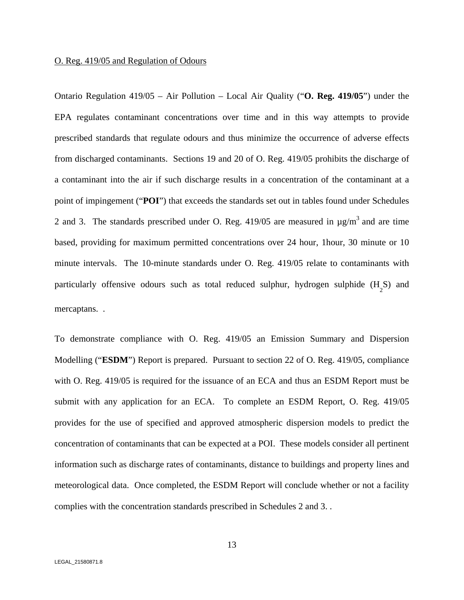#### O. Reg. 419/05 and Regulation of Odours

Ontario Regulation 419/05 – Air Pollution – Local Air Quality ("**O. Reg. 419/05**") under the EPA regulates contaminant concentrations over time and in this way attempts to provide prescribed standards that regulate odours and thus minimize the occurrence of adverse effects from discharged contaminants. Sections 19 and 20 of O. Reg. 419/05 prohibits the discharge of a contaminant into the air if such discharge results in a concentration of the contaminant at a point of impingement ("**POI**") that exceeds the standards set out in tables found under Schedules 2 and 3. The standards prescribed under O. Reg.  $419/05$  are measured in  $\mu$ g/m<sup>3</sup> and are time based, providing for maximum permitted concentrations over 24 hour, 1hour, 30 minute or 10 minute intervals. The 10-minute standards under O. Reg. 419/05 relate to contaminants with particularly offensive odours such as total reduced sulphur, hydrogen sulphide  $(H_5S)$  and 2  $\overline{\phantom{a}}$ S) and

mercaptans. .<br>To demonstrate compliance with O. Reg. 419/05 an Emission Summary and Dispersion Modelling ("**ESDM**") Report is prepared. Pursuant to section 22 of O. Reg. 419/05, compliance with O. Reg. 419/05 is required for the issuance of an ECA and thus an ESDM Report must be submit with any application for an ECA. To complete an ESDM Report, O. Reg. 419/05 provides for the use of specified and approved atmospheric dispersion models to predict the concentration of contaminants that can be expected at a POI. These models consider all pertinent information such as discharge rates of contaminants, distance to buildings and property lines and meteorological data. Once completed, the ESDM Report will conclude whether or not a facility complies with the concentration standards prescribed in Schedules 2 and 3. .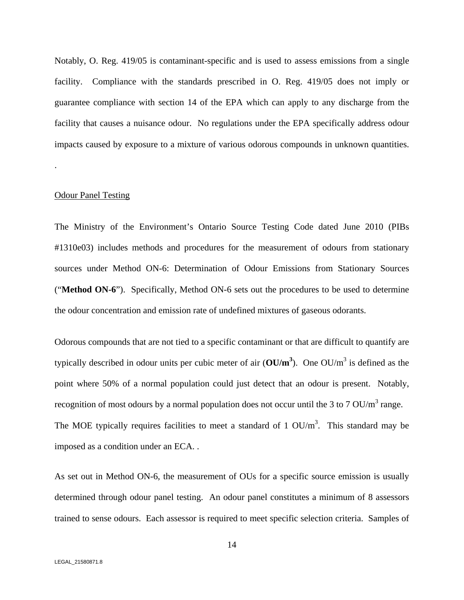Notably, O. Reg. 419/05 is contaminant-specific and is used to assess emissions from a single facility. Compliance with the standards prescribed in O. Reg. 419/05 does not imply or guarantee compliance with section 14 of the EPA which can apply to any discharge from the facility that causes a nuisance odour. No regulations under the EPA specifically address odour impacts caused by exposure to a mixture of various odorous compounds in unknown quantities.

# .<br>Odour Panel Testing

The Ministry of the Environment's Ontario Source Testing Code dated June 2010 (PIBs #1310e03) includes methods and procedures for the measurement of odours from stationary sources under Method ON-6: Determination of Odour Emissions from Stationary Sources ("**Method ON-6**"). Specifically, Method ON-6 sets out the procedures to be used to determine the odour concentration and emission rate of undefined mixtures of gaseous odorants.

Odorous compounds that are not tied to a specific contaminant or that are difficult to quantify are typically described in odour units per cubic meter of air  $(OU/m^3)$ . One  $OU/m^3$  is defined as the is defined as the point where 50% of a normal population could just detect that an odour is present. Notably, recognition of most odours by a normal population does not occur until the 3 to 7 OU/m<sup>3</sup> range. recognition of most odours by a normal population does not occur until the 3 to 7 OU/m<sup>3</sup> range.<br>The MOE typically requires facilities to meet a standard of 1 OU/m<sup>3</sup>. This standard may be The MOE typically requires facilities to meet a standard of 1  $OU/m<sup>3</sup>$ . This standard may be . This standard may be

imposed as a condition under an ECA. .<br>As set out in Method ON-6, the measurement of OUs for a specific source emission is usually determined through odour panel testing. An odour panel constitutes a minimum of 8 assessors trained to sense odours. Each assessor is required to meet specific selection criteria. Samples of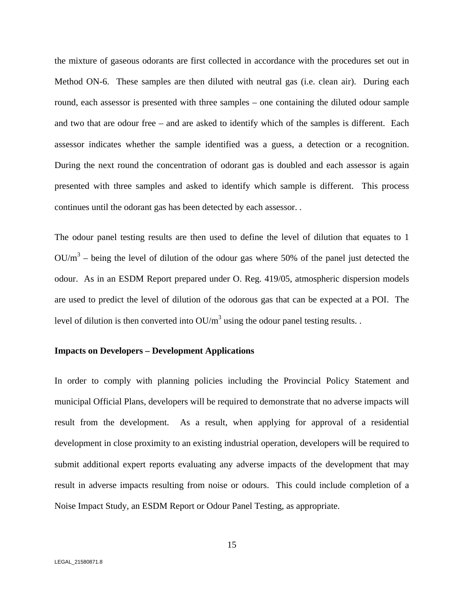the mixture of gaseous odorants are first collected in accordance with the procedures set out in Method ON-6. These samples are then diluted with neutral gas (i.e. clean air). During each round, each assessor is presented with three samples – one containing the diluted odour sample and two that are odour free – and are asked to identify which of the samples is different. Each assessor indicates whether the sample identified was a guess, a detection or a recognition. During the next round the concentration of odorant gas is doubled and each assessor is again presented with three samples and asked to identify which sample is different. This process continues until the odorant gas has been detected by each assessor. .<br>The odour panel testing results are then used to define the level of dilution that equates to 1

 $OU/m<sup>3</sup>$  – being the level of dilution of the odour gas where 50% of the panel just detected the odour. As in an ESDM Report prepared under O. Reg. 419/05, atmospheric dispersion models are used to predict the level of dilution of the odorous gas that can be expected at a POI. The level of dilution is then converted into  $OU/m^3$  using the odour panel testing results. .

#### **Impacts on Developers – Development Applications**

In order to comply with planning policies including the Provincial Policy Statement and municipal Official Plans, developers will be required to demonstrate that no adverse impacts will result from the development. As a result, when applying for approval of a residential development in close proximity to an existing industrial operation, developers will be required to submit additional expert reports evaluating any adverse impacts of the development that may result in adverse impacts resulting from noise or odours. This could include completion of a Noise Impact Study, an ESDM Report or Odour Panel Testing, as appropriate.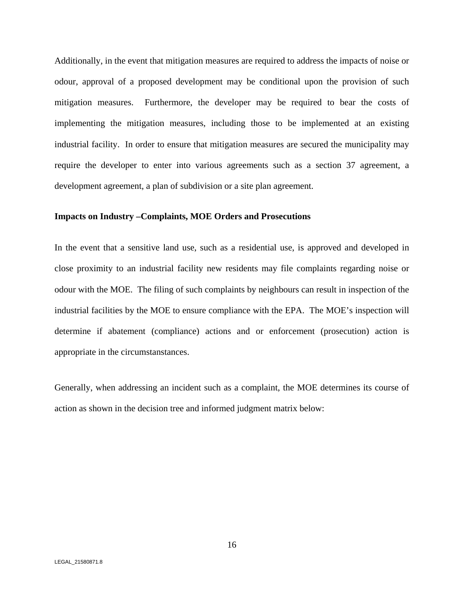Additionally, in the event that mitigation measures are required to address the impacts of noise or odour, approval of a proposed development may be conditional upon the provision of such mitigation measures. Furthermore, the developer may be required to bear the costs of implementing the mitigation measures, including those to be implemented at an existing industrial facility. In order to ensure that mitigation measures are secured the municipality may require the developer to enter into various agreements such as a section 37 agreement, a development agreement, a plan of subdivision or a site plan agreement.

#### **Impacts on Industry –Complaints, MOE Orders and Prosecutions**

In the event that a sensitive land use, such as a residential use, is approved and developed in close proximity to an industrial facility new residents may file complaints regarding noise or odour with the MOE. The filing of such complaints by neighbours can result in inspection of the industrial facilities by the MOE to ensure compliance with the EPA. The MOE's inspection will determine if abatement (compliance) actions and or enforcement (prosecution) action is appropriate in the circumstanstances.

Generally, when addressing an incident such as a complaint, the MOE determines its course of action as shown in the decision tree and informed judgment matrix below: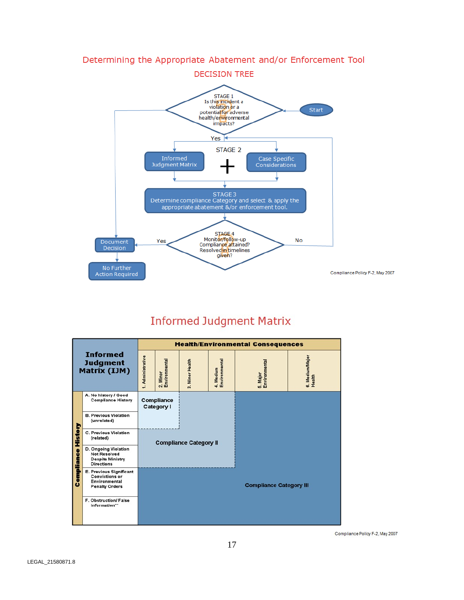

### Determining the Appropriate Abatement and/or Enforcement Tool

# **Informed Judgment Matrix**

|                                             |                                                                                                   |                                 | <b>Health/Environmental Consequences</b> |                 |                            |                                |                           |  |
|---------------------------------------------|---------------------------------------------------------------------------------------------------|---------------------------------|------------------------------------------|-----------------|----------------------------|--------------------------------|---------------------------|--|
| <b>Informed</b><br>Judgment<br>Matrix (IJM) |                                                                                                   | 1. Administrative               | 2. Minor<br>Environmental                | 3. Minor Health | 4. Medium<br>Environmental | 5. Major<br>Environmental      | 6. Medium/Major<br>Health |  |
| History<br>ompliance<br>٥                   | A. No history / Good<br><b>Compliance History</b>                                                 | <b>Compliance</b><br>Category I |                                          |                 |                            |                                |                           |  |
|                                             | <b>B. Previous Violation</b><br>(unrelated)                                                       |                                 |                                          |                 |                            |                                |                           |  |
|                                             | C. Previous Violation<br>(related)                                                                | <b>Compliance Category II</b>   |                                          |                 |                            |                                |                           |  |
|                                             | D. Ongoing Violation<br><b>Not Resolved</b><br><b>Despite Ministry</b><br><b>Directions</b>       |                                 |                                          |                 |                            |                                |                           |  |
|                                             | E. Previous Significant<br><b>Convictions or</b><br><b>Environmental</b><br><b>Penalty Orders</b> |                                 |                                          |                 |                            | <b>Compliance Category III</b> |                           |  |
|                                             | F. Obstruction/ False<br>Information**                                                            |                                 |                                          |                 |                            |                                |                           |  |

Compliance Policy F-2, May 2007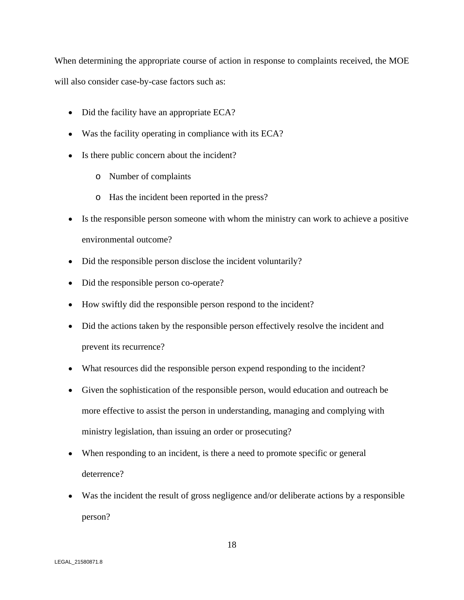When determining the appropriate course of action in response to complaints received, the MOE will also consider case-by-case factors such as:

- Did the facility have an appropriate ECA?
- Was the facility operating in compliance with its ECA?
- Is there public concern about the incident?
	- o Number of complaints
	- o Has the incident been reported in the press?
- Is the responsible person someone with whom the ministry can work to achieve a positive environmental outcome?
- Did the responsible person disclose the incident voluntarily?
- Did the responsible person co-operate?
- How swiftly did the responsible person respond to the incident?
- Did the actions taken by the responsible person effectively resolve the incident and prevent its recurrence?
- What resources did the responsible person expend responding to the incident?
- Given the sophistication of the responsible person, would education and outreach be more effective to assist the person in understanding, managing and complying with ministry legislation, than issuing an order or prosecuting?
- When responding to an incident, is there a need to promote specific or general deterrence?
- Was the incident the result of gross negligence and/or deliberate actions by a responsible person?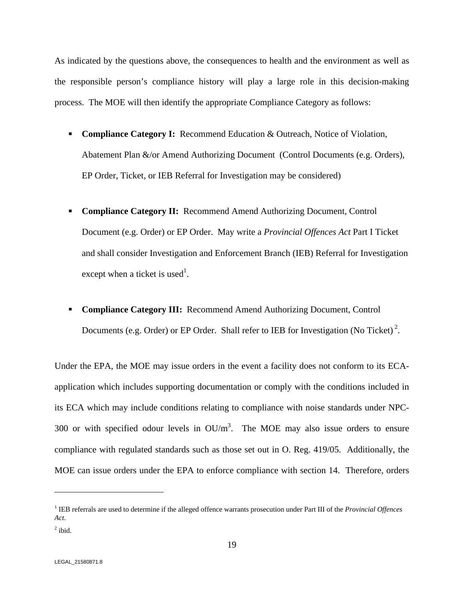As indicated by the questions above, the consequences to health and the environment as well as the responsible person's compliance history will play a large role in this decision-making process. The MOE will then identify the appropriate Compliance Category as follows:

- $\blacksquare$ **Compliance Category I:** Recommend Education & Outreach, Notice of Violation, Abatement Plan &/or Amend Authorizing Document (Control Documents (e.g. Orders), EP Order, Ticket, or IEB Referral for Investigation may be considered)
- **Compliance Category II:** Recommend Amend Authorizing Document, Control Document (e.g. Order) or EP Order. May write a *Provincial Offences Act* Part I Ticket and shall consider Investigation and Enforcement Branch (IEB) Referral for Investigation except when a ticket is used<sup>1</sup>. . A construction of the construction of the construction of the construction of the construction of the constr<br>The construction of the construction of the construction of the construction of the construction of the constr
- **Compliance Category III:** Recommend Amend Authorizing Document, Control Documents (e.g. Order) or EP Order. Shall refer to IEB for Investigation (No Ticket)<sup>2</sup>. .

Under the EPA, the MOE may issue orders in the event a facility does not conform to its ECA application which includes supporting documentation or comply with the conditions included in its ECA which may include conditions relating to compliance with noise standards under NPC-300 or with specified odour levels in  $OU/m<sup>3</sup>$ . The MOE may also issue orders to ensure compliance with regulated standards such as those set out in O. Reg. 419/05. Additionally, the MOE can issue orders under the EPA to enforce compliance with section 14. Therefore, orders

 <sup>1</sup> IEB referrals are used to determine if the alleged offence warrants prosecution under Part III of the *Provincial Offences Act.* 

 $2:1:1$  $<sup>2</sup>$  ibid.</sup>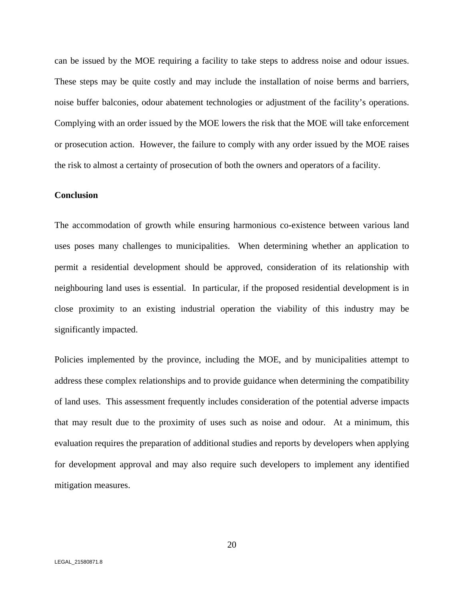can be issued by the MOE requiring a facility to take steps to address noise and odour issues. These steps may be quite costly and may include the installation of noise berms and barriers, noise buffer balconies, odour abatement technologies or adjustment of the facility's operations. Complying with an order issued by the MOE lowers the risk that the MOE will take enforcement or prosecution action. However, the failure to comply with any order issued by the MOE raises the risk to almost a certainty of prosecution of both the owners and operators of a facility.

#### **Conclusion**

The accommodation of growth while ensuring harmonious co-existence between various land uses poses many challenges to municipalities. When determining whether an application to permit a residential development should be approved, consideration of its relationship with neighbouring land uses is essential. In particular, if the proposed residential development is in close proximity to an existing industrial operation the viability of this industry may be significantly impacted.

Policies implemented by the province, including the MOE, and by municipalities attempt to address these complex relationships and to provide guidance when determining the compatibility of land uses. This assessment frequently includes consideration of the potential adverse impacts that may result due to the proximity of uses such as noiseand odour. At a minimum, this evaluation requires the preparation of additional studies and reports by developers when applying for development approval and may also require such developers to implement any identified mitigation measures.